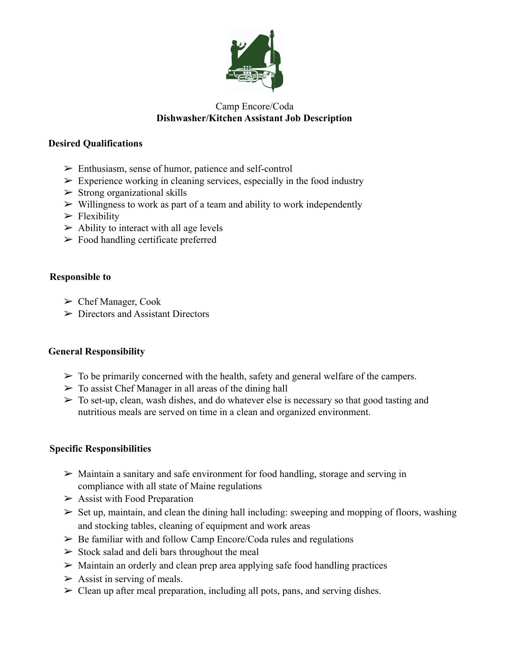

## Camp Encore/Coda **Dishwasher/Kitchen Assistant Job Description**

## **Desired Qualifications**

- ➢ Enthusiasm, sense of humor, patience and self-control
- $\triangleright$  Experience working in cleaning services, especially in the food industry
- $\triangleright$  Strong organizational skills
- $\triangleright$  Willingness to work as part of a team and ability to work independently
- $\blacktriangleright$  Flexibility
- $\triangleright$  Ability to interact with all age levels
- $\triangleright$  Food handling certificate preferred

### **Responsible to**

- $\triangleright$  Chef Manager, Cook
- $\triangleright$  Directors and Assistant Directors

# **General Responsibility**

- $\triangleright$  To be primarily concerned with the health, safety and general welfare of the campers.
- $\triangleright$  To assist Chef Manager in all areas of the dining hall
- $\triangleright$  To set-up, clean, wash dishes, and do whatever else is necessary so that good tasting and nutritious meals are served on time in a clean and organized environment.

# **Specific Responsibilities**

- ➢ Maintain a sanitary and safe environment for food handling, storage and serving in compliance with all state of Maine regulations
- $\geq$  Assist with Food Preparation
- $\triangleright$  Set up, maintain, and clean the dining hall including: sweeping and mopping of floors, washing and stocking tables, cleaning of equipment and work areas
- $\triangleright$  Be familiar with and follow Camp Encore/Coda rules and regulations
- $\geq$  Stock salad and deli bars throughout the meal
- $\triangleright$  Maintain an orderly and clean prep area applying safe food handling practices
- $\triangleright$  Assist in serving of meals.
- $\triangleright$  Clean up after meal preparation, including all pots, pans, and serving dishes.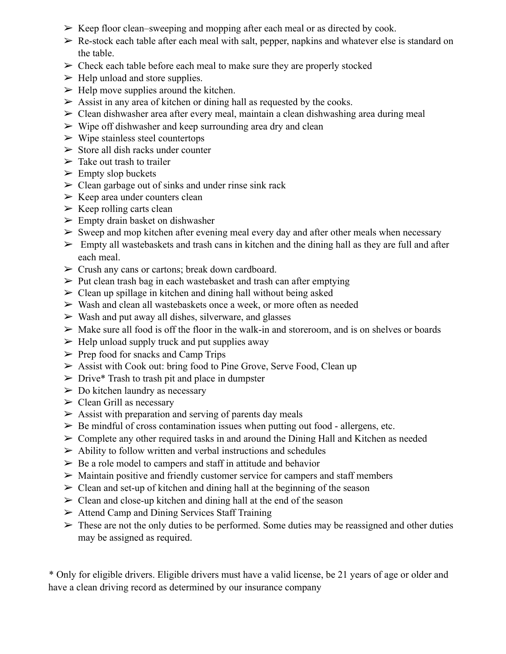- $\triangleright$  Keep floor clean–sweeping and mopping after each meal or as directed by cook.
- $\triangleright$  Re-stock each table after each meal with salt, pepper, napkins and whatever else is standard on the table.
- $\triangleright$  Check each table before each meal to make sure they are properly stocked
- $\triangleright$  Help unload and store supplies.
- $\triangleright$  Help move supplies around the kitchen.
- $\triangleright$  Assist in any area of kitchen or dining hall as requested by the cooks.
- $\geq$  Clean dishwasher area after every meal, maintain a clean dishwashing area during meal
- $\triangleright$  Wipe off dishwasher and keep surrounding area dry and clean
- $\triangleright$  Wipe stainless steel countertops
- $\triangleright$  Store all dish racks under counter
- $\triangleright$  Take out trash to trailer
- $\triangleright$  Empty slop buckets
- $\geq$  Clean garbage out of sinks and under rinse sink rack
- $\triangleright$  Keep area under counters clean
- $\triangleright$  Keep rolling carts clean
- $\triangleright$  Empty drain basket on dishwasher
- $\triangleright$  Sweep and mop kitchen after evening meal every day and after other meals when necessary
- $\triangleright$  Empty all wastebaskets and trash cans in kitchen and the dining hall as they are full and after each meal.
- $\triangleright$  Crush any cans or cartons; break down cardboard.
- $\triangleright$  Put clean trash bag in each wastebasket and trash can after emptying
- $\geq$  Clean up spillage in kitchen and dining hall without being asked
- ➢ Wash and clean all wastebaskets once a week, or more often as needed
- $\triangleright$  Wash and put away all dishes, silverware, and glasses
- $\triangleright$  Make sure all food is off the floor in the walk-in and storeroom, and is on shelves or boards
- $\triangleright$  Help unload supply truck and put supplies away
- $\triangleright$  Prep food for snacks and Camp Trips
- ➢ Assist with Cook out: bring food to Pine Grove, Serve Food, Clean up
- $\triangleright$  Drive\* Trash to trash pit and place in dumpster
- $\triangleright$  Do kitchen laundry as necessary
- $\triangleright$  Clean Grill as necessary
- $\triangleright$  Assist with preparation and serving of parents day meals
- $\triangleright$  Be mindful of cross contamination issues when putting out food allergens, etc.
- $\triangleright$  Complete any other required tasks in and around the Dining Hall and Kitchen as needed
- $\triangleright$  Ability to follow written and verbal instructions and schedules
- $\triangleright$  Be a role model to campers and staff in attitude and behavior
- $\triangleright$  Maintain positive and friendly customer service for campers and staff members
- $\geq$  Clean and set-up of kitchen and dining hall at the beginning of the season
- $\geq$  Clean and close-up kitchen and dining hall at the end of the season
- $\triangleright$  Attend Camp and Dining Services Staff Training
- $\triangleright$  These are not the only duties to be performed. Some duties may be reassigned and other duties may be assigned as required.

\* Only for eligible drivers. Eligible drivers must have a valid license, be 21 years of age or older and have a clean driving record as determined by our insurance company